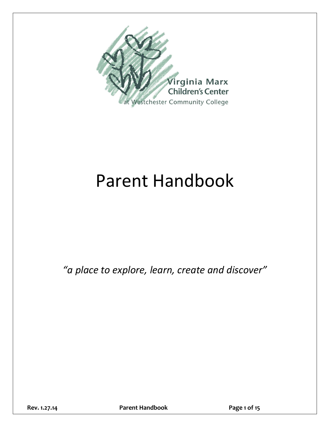

# Parent Handbook

*"a place to explore, learn, create and discover"*

**Rev. 1.27.14 Parent Handbook Page 1 of 15**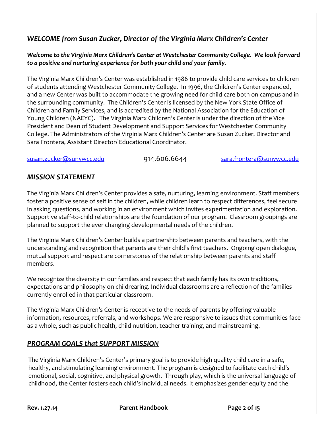# *WELCOME from Susan Zucker, Director of the Virginia Marx Children's Center*

#### *Welcome to the Virginia Marx Children's Center at Westchester Community College. We look forward to a positive and nurturing experience for both your child and your family.*

The Virginia Marx Children's Center was established in 1986 to provide child care services to children of students attending Westchester Community College. In 1996, the Children's Center expanded, and a new Center was built to accommodate the growing need for child care both on campus and in the surrounding community. The Children's Center is licensed by the New York State Office of Children and Family Services, and is accredited by the National Association for the Education of Young Children (NAEYC). The Virginia Marx Children's Center is under the direction of the Vice President and Dean of Student Development and Support Services for Westchester Community College. The Administrators of the Virginia Marx Children's Center are Susan Zucker, Director and Sara Frontera, Assistant Director/ Educational Coordinator.

[susan.zucker@sunywcc.edu](mailto:susan.zucker@sunywcc.edu) 914.606.6644 [sara.frontera@sunywcc.edu](mailto:sara.frontera@sunywcc.edu)

# *MISSION STATEMENT*

The Virginia Marx Children's Center provides a safe, nurturing, learning environment. Staff members foster a positive sense of self in the children, while children learn to respect differences, feel secure in asking questions, and working in an environment which invites experimentation and exploration. Supportive staff-to-child relationships are the foundation of our program. Classroom groupings are planned to support the ever changing developmental needs of the children.

The Virginia Marx Children's Center builds a partnership between parents and teachers, with the understanding and recognition that parents are their child's first teachers. Ongoing open dialogue, mutual support and respect are cornerstones of the relationship between parents and staff members.

We recognize the diversity in our families and respect that each family has its own traditions, expectations and philosophy on childrearing. Individual classrooms are a reflection of the families currently enrolled in that particular classroom.

The Virginia Marx Children's Center is receptive to the needs of parents by offering valuable information**,** resources, referrals, and workshops**.** We are responsive to issues that communities face as a whole, such as public health, child nutrition, teacher training, and mainstreaming.

# *PROGRAM GOALS that SUPPORT MISSION*

The Virginia Marx Children's Center's primary goal is to provide high quality child care in a safe, healthy, and stimulating learning environment. The program is designed to facilitate each child's emotional, social, cognitive, and physical growth. Through play, which is the universal language of childhood, the Center fosters each child's individual needs. It emphasizes gender equity and the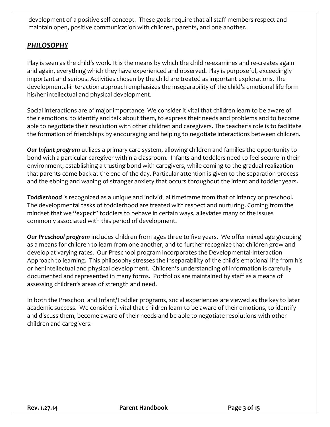development of a positive self-concept. These goals require that all staff members respect and maintain open, positive communication with children, parents, and one another.

# *PHILOSOPHY*

Play is seen as the child's work. It is the means by which the child re-examines and re-creates again and again, everything which they have experienced and observed. Play is purposeful, exceedingly important and serious. Activities chosen by the child are treated as important explorations. The developmental-interaction approach emphasizes the inseparability of the child's emotional life form his/her intellectual and physical development.

Social interactions are of major importance. We consider it vital that children learn to be aware of their emotions, to identify and talk about them, to express their needs and problems and to become able to negotiate their resolution with other children and caregivers. The teacher's role is to facilitate the formation of friendships by encouraging and helping to negotiate interactions between children.

*Our Infant program* utilizes a primary care system, allowing children and families the opportunity to bond with a particular caregiver within a classroom. Infants and toddlers need to feel secure in their environment; establishing a trusting bond with caregivers, while coming to the gradual realization that parents come back at the end of the day. Particular attention is given to the separation process and the ebbing and waning of stranger anxiety that occurs throughout the infant and toddler years.

*Toddlerhood* is recognized as a unique and individual timeframe from that of infancy or preschool. The developmental tasks of toddlerhood are treated with respect and nurturing. Coming from the mindset that we "expect" toddlers to behave in certain ways, alleviates many of the issues commonly associated with this period of development.

*Our Preschool program* includes children from ages three to five years. We offer mixed age grouping as a means for children to learn from one another, and to further recognize that children grow and develop at varying rates. Our Preschool program incorporates the Developmental-Interaction Approach to learning. This philosophy stresses the inseparability of the child's emotional life from his or her intellectual and physical development. Children's understanding of information is carefully documented and represented in many forms. Portfolios are maintained by staff as a means of assessing children's areas of strength and need.

In both the Preschool and Infant/Toddler programs, social experiences are viewed as the key to later academic success. We consider it vital that children learn to be aware of their emotions, to identify and discuss them, become aware of their needs and be able to negotiate resolutions with other children and caregivers.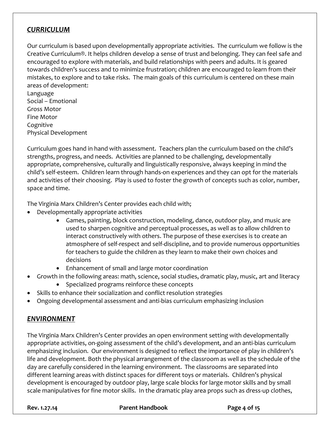## *CURRICULUM*

Our curriculum is based upon developmentally appropriate activities. The curriculum we follow is the Creative Curriculum®. It helps children develop a sense of trust and belonging. They can feel safe and encouraged to explore with materials, and build relationships with peers and adults. It is geared towards children's success and to minimize frustration; children are encouraged to learn from their mistakes, to explore and to take risks. The main goals of this curriculum is centered on these main areas of development:

Language Social – Emotional Gross Motor Fine Motor Cognitive Physical Development

Curriculum goes hand in hand with assessment. Teachers plan the curriculum based on the child's strengths, progress, and needs. Activities are planned to be challenging, developmentally appropriate, comprehensive, culturally and linguistically responsive, always keeping in mind the child's self-esteem. Children learn through hands-on experiences and they can opt for the materials and activities of their choosing. Play is used to foster the growth of concepts such as color, number, space and time.

The Virginia Marx Children's Center provides each child with;

- Developmentally appropriate activities
	- Games, painting, block construction, modeling, dance, outdoor play, and music are used to sharpen cognitive and perceptual processes, as well as to allow children to interact constructively with others. The purpose of these exercises is to create an atmosphere of self-respect and self-discipline, and to provide numerous opportunities for teachers to guide the children as they learn to make their own choices and decisions
	- Enhancement of small and large motor coordination
- Growth in the following areas: math, science, social studies, dramatic play, music, art and literacy
	- Specialized programs reinforce these concepts
- Skills to enhance their socialization and conflict resolution strategies
- Ongoing developmental assessment and anti-bias curriculum emphasizing inclusion

# *ENVIRONMENT*

The Virginia Marx Children's Center provides an open environment setting with developmentally appropriate activities, on-going assessment of the child's development, and an anti-bias curriculum emphasizing inclusion. Our environment is designed to reflect the importance of play in children's life and development. Both the physical arrangement of the classroom as well as the schedule of the day are carefully considered in the learning environment. The classrooms are separated into different learning areas with distinct spaces for different toys or materials. Children's physical development is encouraged by outdoor play, large scale blocks for large motor skills and by small scale manipulatives for fine motor skills. In the dramatic play area props such as dress-up clothes,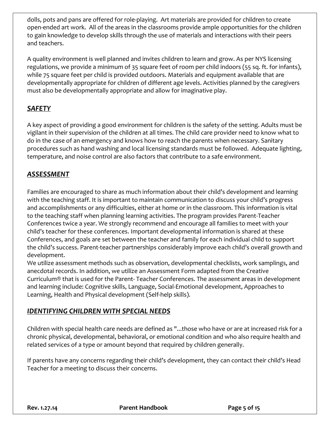dolls, pots and pans are offered for role-playing. Art materials are provided for children to create open-ended art work. All of the areas in the classrooms provide ample opportunities for the children to gain knowledge to develop skills through the use of materials and interactions with their peers and teachers.

A quality environment is well planned and invites children to learn and grow. As per NYS licensing regulations, we provide a minimum of 35 square feet of room per child indoors (55 sq. ft. for infants), while 75 square feet per child is provided outdoors. Materials and equipment available that are developmentally appropriate for children of different age levels. Activities planned by the caregivers must also be developmentally appropriate and allow for imaginative play.

# *SAFETY*

A key aspect of providing a good environment for children is the safety of the setting. Adults must be vigilant in their supervision of the children at all times. The child care provider need to know what to do in the case of an emergency and knows how to reach the parents when necessary. Sanitary procedures such as hand washing and local licensing standards must be followed. Adequate lighting, temperature, and noise control are also factors that contribute to a safe environment.

# *ASSESSMENT*

Families are encouraged to share as much information about their child's development and learning with the teaching staff. It is important to maintain communication to discuss your child's progress and accomplishments or any difficulties, either at home or in the classroom. This information is vital to the teaching staff when planning learning activities. The program provides Parent-Teacher Conferences twice a year. We strongly recommend and encourage all families to meet with your child's teacher for these conferences. Important developmental information is shared at these Conferences, and goals are set between the teacher and family for each individual child to support the child's success. Parent-teacher partnerships considerably improve each child's overall growth and development.

We utilize assessment methods such as observation, developmental checklists, work samplings, and anecdotal records. In addition, we utilize an Assessment Form adapted from the Creative Curriculum® that is used for the Parent- Teacher Conferences. The assessment areas in development and learning include: Cognitive skills, Language, Social-Emotional development, Approaches to Learning, Health and Physical development (Self-help skills).

# *IDENTIFYING CHILDREN WITH SPECIAL NEEDS*

Children with special health care needs are defined as "...those who have or are at increased risk for a chronic physical, developmental, behavioral, or emotional condition and who also require health and related services of a type or amount beyond that required by children generally.

If parents have any concerns regarding their child's development, they can contact their child's Head Teacher for a meeting to discuss their concerns.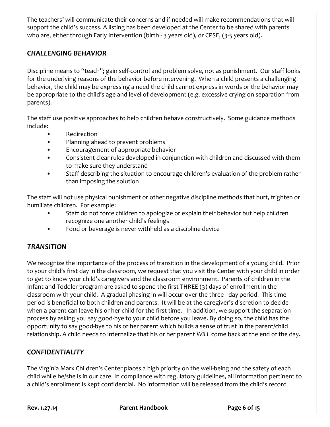The teachers' will communicate their concerns and if needed will make recommendations that will support the child's success. A listing has been developed at the Center to be shared with parents who are, either through Early Intervention (birth - 3 years old), or CPSE, (3-5 years old).

# *CHALLENGING BEHAVIOR*

Discipline means to "teach"; gain self-control and problem solve, not as punishment. Our staff looks for the underlying reasons of the behavior before intervening. When a child presents a challenging behavior, the child may be expressing a need the child cannot express in words or the behavior may be appropriate to the child's age and level of development (e.g. excessive crying on separation from parents).

The staff use positive approaches to help children behave constructively. Some guidance methods include:

- Redirection
- Planning ahead to prevent problems
- Encouragement of appropriate behavior
- Consistent clear rules developed in conjunction with children and discussed with them to make sure they understand
- Staff describing the situation to encourage children's evaluation of the problem rather than imposing the solution

The staff will not use physical punishment or other negative discipline methods that hurt, frighten or humiliate children. For example:

- Staff do not force children to apologize or explain their behavior but help children recognize one another child's feelings
- Food or beverage is never withheld as a discipline device

# *TRANSITION*

We recognize the importance of the process of transition in the development of a young child. Prior to your child's first day in the classroom, we request that you visit the Center with your child in order to get to know your child's caregivers and the classroom environment. Parents of children in the Infant and Toddler program are asked to spend the first THREE (3) days of enrollment in the classroom with your child. A gradual phasing in will occur over the three - day period. This time period is beneficial to both children and parents. It will be at the caregiver's discretion to decide when a parent can leave his or her child for the first time. In addition, we support the separation process by asking you say good-bye to your child before you leave. By doing so, the child has the opportunity to say good-bye to his or her parent which builds a sense of trust in the parent/child relationship. A child needs to internalize that his or her parent *WILL* come back at the end of the day.

# *CONFIDENTIALITY*

The Virginia Marx Children's Center places a high priority on the well-being and the safety of each child while he/she is in our care. In compliance with regulatory guidelines, all information pertinent to a child's enrollment is kept confidential. No information will be released from the child's record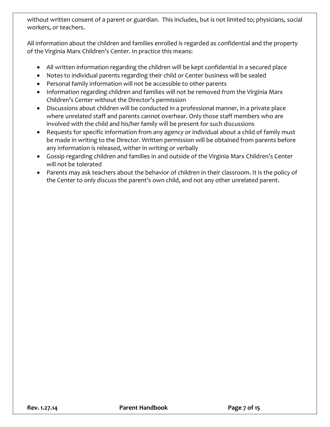without written consent of a parent or guardian. This includes, but is not limited to; physicians, social workers, or teachers.

All information about the children and families enrolled is regarded as confidential and the property of the Virginia Marx Children's Center. In practice this means:

- All written information regarding the children will be kept confidential in a secured place
- Notes to individual parents regarding their child or Center business will be sealed
- Personal family information will not be accessible to other parents
- Information regarding children and families will not be removed from the Virginia Marx Children's Center without the Director's permission
- Discussions about children will be conducted in a professional manner, in a private place where unrelated staff and parents cannot overhear. Only those staff members who are involved with the child and his/her family will be present for such discussions
- Requests for specific information from any agency or individual about a child of family must be made in writing to the Director. Written permission will be obtained from parents before any information is released, wither in writing or verbally
- Gossip regarding children and families in and outside of the Virginia Marx Children's Center will not be tolerated
- Parents may ask teachers about the behavior of children in their classroom. It is the policy of the Center to only discuss the parent's own child, and not any other unrelated parent.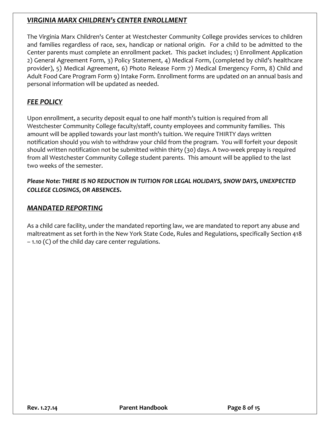# *VIRGINIA MARX CHILDREN's CENTER ENROLLMENT*

The Virginia Marx Children's Center at Westchester Community College provides services to children and families regardless of race, sex, handicap or national origin. For a child to be admitted to the Center parents must complete an enrollment packet. This packet includes; 1) Enrollment Application 2) General Agreement Form, 3) Policy Statement, 4) Medical Form, (completed by child's healthcare provider), 5) Medical Agreement, 6) Photo Release Form 7) Medical Emergency Form, 8) Child and Adult Food Care Program Form 9) Intake Form. Enrollment forms are updated on an annual basis and personal information will be updated as needed.

# *FEE POLICY*

Upon enrollment, a security deposit equal to one half month's tuition is required from all Westchester Community College faculty/staff, county employees and community families. This amount will be applied towards your last month's tuition. We require THIRTY days written notification should you wish to withdraw your child from the program. You will forfeit your deposit should written notification not be submitted within thirty (30) days. A two-week prepay is required from all Westchester Community College student parents. This amount will be applied to the last two weeks of the semester.

*Please Note: THERE IS NO REDUCTION IN TUITION FOR LEGAL HOLIDAYS, SNOW DAYS, UNEXPECTED COLLEGE CLOSINGS, OR ABSENCES.*

## *MANDATED REPORTING*

As a child care facility, under the mandated reporting law, we are mandated to report any abuse and maltreatment as set forth in the New York State Code, Rules and Regulations, specifically Section 418 – 1.10 (C) of the child day care center regulations.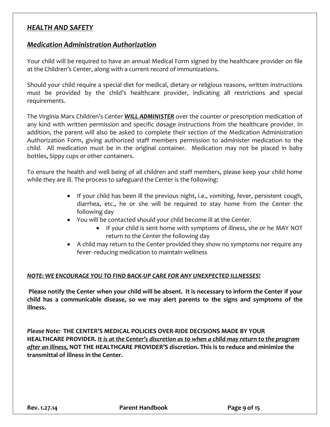#### *HEALTH AND SAFETY*

#### *Medication Administration Authorization*

Your child will be required to have an annual Medical Form signed by the healthcare provider on file at the Children's Center, along with a current record of immunizations.

Should your child require a special diet for medical, dietary or religious reasons, written instructions *must* be provided by the child's healthcare provider, indicating all restrictions and special requirements.

The Virginia Marx Children's Center *WILL ADMINISTER* over the counter or prescription medication of any kind with written permission and specific dosage instructions from the healthcare provider. In addition, the parent will also be asked to complete their section of the Medication Administration Authorization Form, giving authorized staff members permission to administer medication to the child. All medication must be in the original container. Medication may not be placed in baby bottles, Sippy cups or other containers.

To ensure the health and well being of all children and staff members, please keep your child home while they are ill. The process to safeguard the Center is the following:

- If your child has been ill the previous night, i.e., vomiting, fever, persistent cough, diarrhea, etc., he or she will be required to stay home from the Center the following day
- You will be contacted should your child become ill at the Center*.*
	- If your child is sent home with symptoms of illness, she or he MAY NOT return to the Center the following day
- A child may return to the Center provided they show no symptoms nor require any fever- reducing medication to maintain wellness

#### *NOTE: WE ENCOURAGE YOU TO FIND BACK-UP CARE FOR ANY UNEXPECTED ILLNESSES***!**

**Please notify the Center when your child will be absent. It is necessary to inform the Center if your child has a communicable disease, so we may alert parents to the signs and symptoms of the illness.** 

*Please Note:* **THE CENTER'S MEDICAL POLICIES OVER-RIDE DECISIONS MADE BY YOUR HEALTHCARE PROVIDER.** *It is at the Center's discretion as to when a child may return to the program after an illness,* **NOT THE HEALTHCARE PROVIDER'S discretion. This is to reduce and minimize the transmittal of illness in the Center.**

**Rev. 1.27.14 Parent Handbook Page 9 of 15**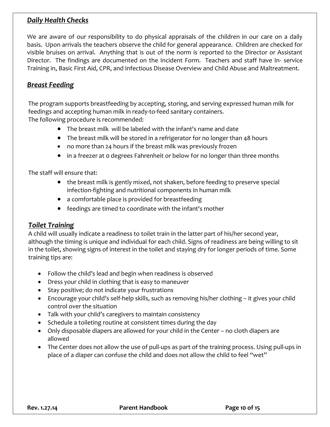# *Daily Health Checks*

We are aware of our responsibility to do physical appraisals of the children in our care on a daily basis. Upon arrivals the teachers observe the child for general appearance. Children are checked for visible bruises on arrival. Anything that is out of the norm is reported to the Director or Assistant Director. The findings are documented on the Incident Form. Teachers and staff have In- service Training in, Basic First Aid, CPR, and Infectious Disease Overview and Child Abuse and Maltreatment.

## *Breast Feeding*

The program supports breastfeeding by accepting, storing, and serving expressed human milk for feedings and accepting human milk in ready-to-feed sanitary containers. The following procedure is recommended:

- The breast milk will be labeled with the infant's name and date
- The breast milk will be stored in a refrigerator for no longer than 48 hours
- no more than 24 hours if the breast milk was previously frozen
- in a freezer at 0 degrees Fahrenheit or below for no longer than three months

The staff will ensure that:

- the breast milk is gently mixed, not shaken, before feeding to preserve special infection-fighting and nutritional components in human milk
- a comfortable place is provided for breastfeeding
- feedings are timed to coordinate with the infant's mother

#### *Toilet Training*

A child will usually indicate a readiness to toilet train in the latter part of his/her second year, although the timing is unique and individual for each child. Signs of readiness are being willing to sit in the toilet, showing signs of interest in the toilet and staying dry for longer periods of time. Some training tips are:

- Follow the child's lead and begin when readiness is observed
- Dress your child in clothing that is easy to maneuver
- Stay positive; do not indicate your frustrations
- Encourage your child's self-help skills, such as removing his/her clothing it gives your child control over the situation
- Talk with your child's caregivers to maintain consistency
- Schedule a toileting routine at consistent times during the day
- Only disposable diapers are allowed for your child in the Center no cloth diapers are allowed
- The Center does not allow the use of pull-ups as part of the training process. Using pull-ups in place of a diaper can confuse the child and does not allow the child to feel "wet"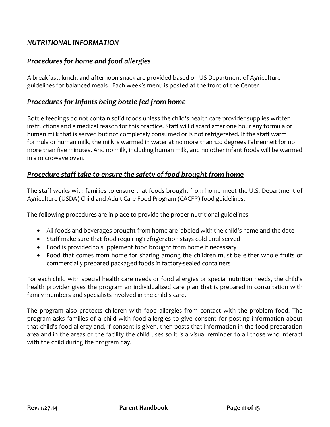#### *NUTRITIONAL INFORMATION*

# *Procedures for home and food allergies*

A breakfast, lunch, and afternoon snack are provided based on US Department of Agriculture guidelines for balanced meals. Each week's menu is posted at the front of the Center.

## *Procedures for Infants being bottle fed from home*

Bottle feedings do not contain solid foods unless the child's health care provider supplies written instructions and a medical reason for this practice. Staff will discard after one hour any formula or human milk that is served but not completely consumed or is not refrigerated. If the staff warm formula or human milk, the milk is warmed in water at no more than 120 degrees Fahrenheit for no more than five minutes. And no milk, including human milk, and no other infant foods will be warmed in a microwave oven.

# *Procedure staff take to ensure the safety of food brought from home*

The staff works with families to ensure that foods brought from home meet the U.S. Department of Agriculture (USDA) Child and Adult Care Food Program (CACFP) food guidelines.

The following procedures are in place to provide the proper nutritional guidelines:

- All foods and beverages brought from home are labeled with the child's name and the date
- Staff make sure that food requiring refrigeration stays cold until served
- Food is provided to supplement food brought from home if necessary
- Food that comes from home for sharing among the children must be either whole fruits or commercially prepared packaged foods in factory-sealed containers

For each child with special health care needs or food allergies or special nutrition needs, the child's health provider gives the program an individualized care plan that is prepared in consultation with family members and specialists involved in the child's care.

The program also protects children with food allergies from contact with the problem food. The program asks families of a child with food allergies to give consent for posting information about that child's food allergy and, if consent is given, then posts that information in the food preparation area and in the areas of the facility the child uses so it is a visual reminder to all those who interact with the child during the program day.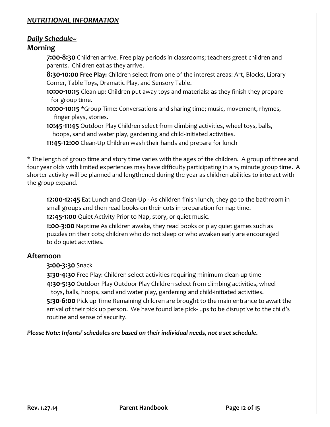## *NUTRITIONAL INFORMATION*

## *Daily Schedule~*

## **Morning**

**7:00-8:30** Children arrive. Free play periods in classrooms; teachers greet children and parents. Children eat as they arrive.

**8:30-10:00 Free Play:** Children select from one of the interest areas: Art, Blocks, Library Corner, Table Toys, Dramatic Play, and Sensory Table.

**10:00-10:15** Clean-up: Children put away toys and materials: as they finish they prepare for group time.

**10:00-10:15 \***Group Time: Conversations and sharing time; music, movement, rhymes, finger plays, stories.

**10:45-11:45** Outdoor Play Children select from climbing activities, wheel toys, balls, hoops, sand and water play, gardening and child-initiated activities.

**11:45-12:00** Clean-Up Children wash their hands and prepare for lunch

**\*** The length of group time and story time varies with the ages of the children. A group of three and four year olds with limited experiences may have difficulty participating in a 15 minute group time. A shorter activity will be planned and lengthened during the year as children abilities to interact with the group expand.

**12:00-12:45** Eat Lunch and Clean-Up - As children finish lunch, they go to the bathroom in small groups and then read books on their cots in preparation for nap time.

**12:45-1:00** Quiet Activity Prior to Nap, story, or quiet music.

**1:00-3:00** Naptime As children awake, they read books or play quiet games such as puzzles on their cots; children who do not sleep or who awaken early are encouraged to do quiet activities.

# **Afternoon**

#### **3:00-3:30** Snack

**3:30-4:30** Free Play: Children select activities requiring minimum clean-up time

**4:30-5:30** Outdoor Play Outdoor Play Children select from climbing activities, wheel toys, balls, hoops, sand and water play, gardening and child-initiated activities.

**5:30-6:00** Pick up Time Remaining children are brought to the main entrance to await the arrival of their pick up person. We have found late pick- ups to be disruptive to the child's routine and sense of security.

*Please Note: Infants' schedules are based on their individual needs, not a set schedule.*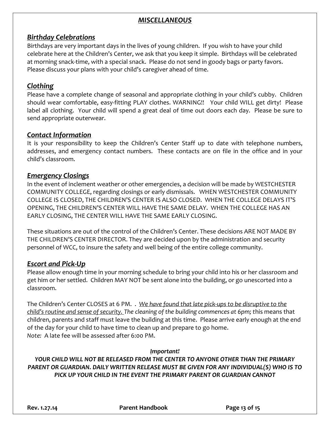# *MISCELLANEOUS*

## *Birthday Celebrations*

Birthdays are very important days in the lives of young children. If you wish to have your child celebrate here at the Children's Center, we ask that you keep it simple. Birthdays will be celebrated at morning snack-time, with a special snack. Please do not send in goody bags or party favors. Please discuss your plans with your child's caregiver ahead of time.

## *Clothing*

Please have a complete change of seasonal and appropriate clothing in your child's cubby. Children should wear comfortable, easy-fitting PLAY clothes. WARNING!! Your child WILL get dirty! Please label all clothing. Your child will spend a great deal of time out doors each day. Please be sure to send appropriate outerwear.

## *Contact Information*

It is your responsibility to keep the Children's Center Staff up to date with telephone numbers, addresses, and emergency contact numbers. These contacts are on file in the office and in your child's classroom.

## *Emergency Closings*

In the event of inclement weather or other emergencies, a decision will be made by WESTCHESTER COMMUNITY COLLEGE, regarding closings or early dismissals. WHEN WESTCHESTER COMMUNITY COLLEGE IS CLOSED, THE CHILDREN'S CENTER IS ALSO CLOSED. WHEN THE COLLEGE DELAYS IT'S OPENING, THE CHILDREN'S CENTER WILL HAVE THE SAME DELAY. WHEN THE COLLEGE HAS AN EARLY CLOSING, THE CENTER WILL HAVE THE SAME EARLY CLOSING.

These situations are out of the control of the Children's Center. These decisions ARE NOT MADE BY THE CHILDREN'S CENTER DIRECTOR. They are decided upon by the administration and security personnel of WCC, to insure the safety and well being of the entire college community.

# *Escort and Pick-Up*

Please allow enough time in your morning schedule to bring your child into his or her classroom and get him or her settled. Children MAY NOT be sent alone into the building, or go unescorted into a classroom.

The Children's Center CLOSES at 6 PM. . *We have found that late pick-ups to be disruptive to the child's routine and sense of security. The cleaning of the building commences at 6pm; t*his means that children, parents and staff must leave the building at this time. Please arrive early enough at the end of the day for your child to have time to clean up and prepare to go home. *Note:* A late fee will be assessed after 6:00 PM.

#### *Important!*

*YOUR CHILD WILL NOT BE RELEASED FROM THE CENTER TO ANYONE OTHER THAN THE PRIMARY PARENT OR GUARDIAN. DAILY WRITTEN RELEASE MUST BE GIVEN FOR ANY INDIVIDUAL(S) WHO IS TO PICK UP YOUR CHILD IN THE EVENT THE PRIMARY PARENT OR GUARDIAN CANNOT*

**Rev. 1.27.14 Parent Handbook Page 13 of 15**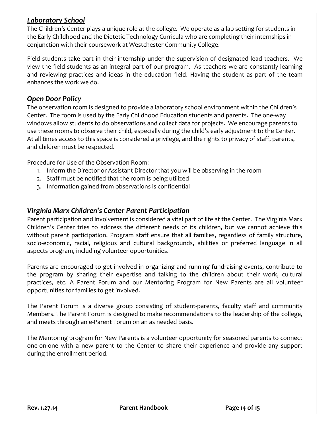## *Laboratory School*

The Children's Center plays a unique role at the college. We operate as a lab setting for students in the Early Childhood and the Dietetic Technology Curricula who are completing their internships in conjunction with their coursework at Westchester Community College.

Field students take part in their internship under the supervision of designated lead teachers. We view the field students as an integral part of our program. As teachers we are constantly learning and reviewing practices and ideas in the education field. Having the student as part of the team enhances the work we do.

#### *Open Door Policy*

The observation room is designed to provide a laboratory school environment within the Children's Center. The room is used by the Early Childhood Education students and parents. The one-way windows allow students to do observations and collect data for projects. We encourage parents to use these rooms to observe their child, especially during the child's early adjustment to the Center. At all times access to this space is considered a privilege, and the rights to privacy of staff, parents, and children must be respected.

Procedure for Use of the Observation Room:

- 1. Inform the Director or Assistant Director that you will be observing in the room
- 2. Staff must be notified that the room is being utilized
- 3. Information gained from observations is confidential

## *Virginia Marx Children's Center Parent Participation*

Parent participation and involvement is considered a vital part of life at the Center. The Virginia Marx Children's Center tries to address the different needs of its children, but we cannot achieve this without parent participation. Program staff ensure that all families, regardless of family structure, socio-economic, racial, religious and cultural backgrounds, abilities or preferred language in all aspects program, including volunteer opportunities.

Parents are encouraged to get involved in organizing and running fundraising events, contribute to the program by sharing their expertise and talking to the children about their work, cultural practices, etc. A Parent Forum and our Mentoring Program for New Parents are all volunteer opportunities for families to get involved.

The Parent Forum is a diverse group consisting of student-parents, faculty staff and community Members. The Parent Forum is designed to make recommendations to the leadership of the college, and meets through an e-Parent Forum on an as needed basis.

The Mentoring program for New Parents is a volunteer opportunity for seasoned parents to connect one-on-one with a new parent to the Center to share their experience and provide any support during the enrollment period.

**Rev. 1.27.14 Parent Handbook Page 14 of 15**